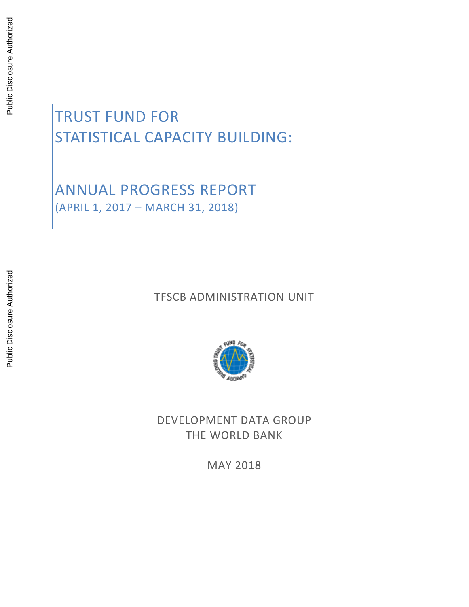# TRUST FUND FOR STATISTICAL CAPACITY BUILDING:

ANNUAL PROGRESS REPORT (APRIL 1, 2017 – MARCH 31, 2018)

TFSCB ADMINISTRATION UNIT



DEVELOPMENT DATA GROUP THE WORLD BANK

MAY 2018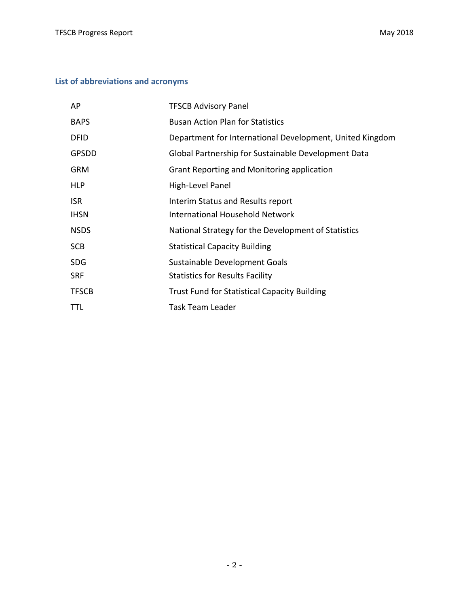## **List of abbreviations and acronyms**

| AP           | <b>TFSCB Advisory Panel</b>                              |
|--------------|----------------------------------------------------------|
| <b>BAPS</b>  | <b>Busan Action Plan for Statistics</b>                  |
| <b>DFID</b>  | Department for International Development, United Kingdom |
| <b>GPSDD</b> | Global Partnership for Sustainable Development Data      |
| <b>GRM</b>   | Grant Reporting and Monitoring application               |
| <b>HLP</b>   | High-Level Panel                                         |
| <b>ISR</b>   | Interim Status and Results report                        |
| <b>IHSN</b>  | <b>International Household Network</b>                   |
| <b>NSDS</b>  | National Strategy for the Development of Statistics      |
| <b>SCB</b>   | <b>Statistical Capacity Building</b>                     |
| <b>SDG</b>   | Sustainable Development Goals                            |
| <b>SRF</b>   | <b>Statistics for Results Facility</b>                   |
| <b>TFSCB</b> | <b>Trust Fund for Statistical Capacity Building</b>      |
| TTL          | <b>Task Team Leader</b>                                  |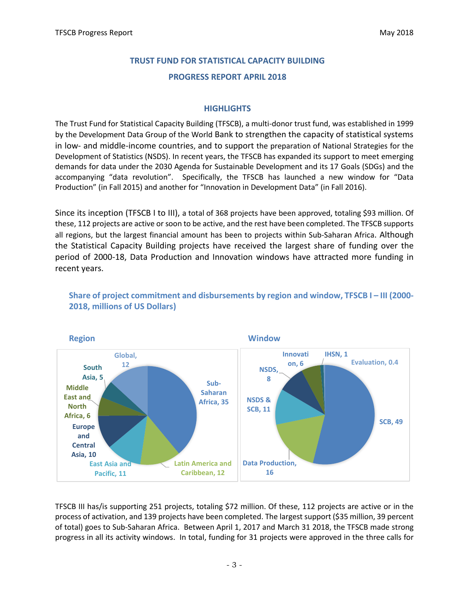# **TRUST FUND FOR STATISTICAL CAPACITY BUILDING PROGRESS REPORT APRIL 2018**

#### **HIGHLIGHTS**

The Trust Fund for Statistical Capacity Building (TFSCB), a multi-donor trust fund, was established in 1999 by the Development Data Group of the World Bank to strengthen the capacity of statistical systems in low- and middle-income countries, and to support the preparation of National Strategies for the Development of Statistics (NSDS). In recent years, the TFSCB has expanded its support to meet emerging demands for data under the 2030 Agenda for Sustainable Development and its 17 Goals (SDGs) and the accompanying "data revolution". Specifically, the TFSCB has launched a new window for "Data Production" (in Fall 2015) and another for "Innovation in Development Data" (in Fall 2016).

Since its inception (TFSCB I to III), a total of 368 projects have been approved, totaling \$93 million. Of these, 112 projects are active or soon to be active, and the rest have been completed. The TFSCB supports all regions, but the largest financial amount has been to projects within Sub-Saharan Africa. Although the Statistical Capacity Building projects have received the largest share of funding over the period of 2000-18, Data Production and Innovation windows have attracted more funding in recent years.



**Share of project commitment and disbursements by region and window, TFSCB I – III (2000- 2018, millions of US Dollars)**

TFSCB III has/is supporting 251 projects, totaling \$72 million. Of these, 112 projects are active or in the process of activation, and 139 projects have been completed. The largest support (\$35 million, 39 percent of total) goes to Sub-Saharan Africa. Between April 1, 2017 and March 31 2018, the TFSCB made strong progress in all its activity windows. In total, funding for 31 projects were approved in the three calls for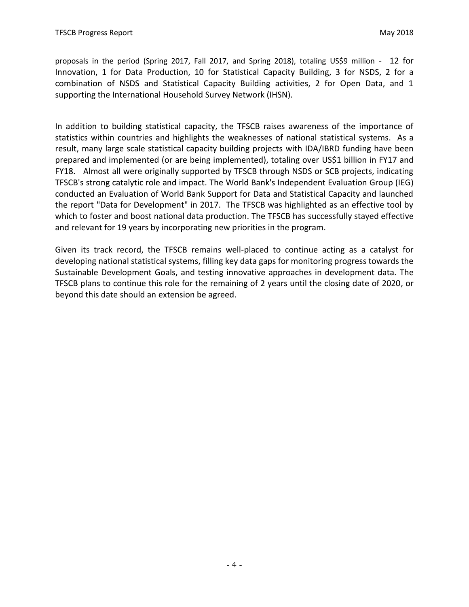proposals in the period (Spring 2017, Fall 2017, and Spring 2018), totaling US\$9 million - 12 for Innovation, 1 for Data Production, 10 for Statistical Capacity Building, 3 for NSDS, 2 for a combination of NSDS and Statistical Capacity Building activities, 2 for Open Data, and 1 supporting the International Household Survey Network (IHSN).

In addition to building statistical capacity, the TFSCB raises awareness of the importance of statistics within countries and highlights the weaknesses of national statistical systems. As a result, many large scale statistical capacity building projects with IDA/IBRD funding have been prepared and implemented (or are being implemented), totaling over US\$1 billion in FY17 and FY18. Almost all were originally supported by TFSCB through NSDS or SCB projects, indicating TFSCB's strong catalytic role and impact. The World Bank's Independent Evaluation Group (IEG) conducted an Evaluation of World Bank Support for Data and Statistical Capacity and launched the report "Data for Development" in 2017. The TFSCB was highlighted as an effective tool by which to foster and boost national data production. The TFSCB has successfully stayed effective and relevant for 19 years by incorporating new priorities in the program.

Given its track record, the TFSCB remains well-placed to continue acting as a catalyst for developing national statistical systems, filling key data gaps for monitoring progress towards the Sustainable Development Goals, and testing innovative approaches in development data. The TFSCB plans to continue this role for the remaining of 2 years until the closing date of 2020, or beyond this date should an extension be agreed.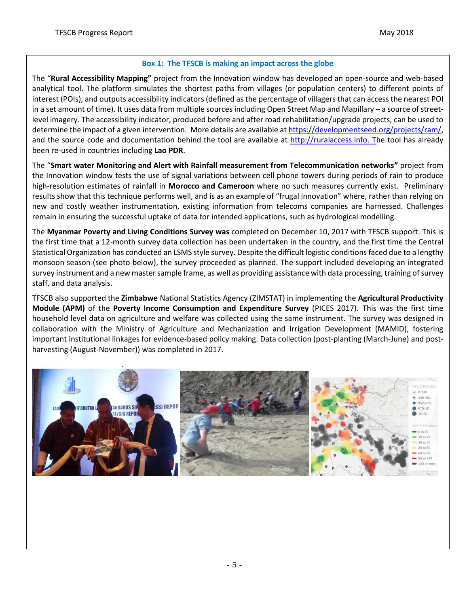#### **Box 1: The TFSCB is making an impact across the globe**

The "**Rural Accessibility Mapping"** project from the Innovation window has developed an open-source and web-based analytical tool. The platform simulates the shortest paths from villages (or population centers) to different points of interest (POIs), and outputs accessibility indicators (defined as the percentage of villagers that can access the nearest POI in a set amount of time). It uses data from multiple sources including Open Street Map and Mapillary – a source of streetlevel imagery. The accessibility indicator, produced before and after road rehabilitation/upgrade projects, can be used to determine the impact of a given intervention. More details are available a[t https://developmentseed.org/projects/ram/,](https://developmentseed.org/projects/ram/) and the source code and documentation behind the tool are available at [http://ruralaccess.info.](http://ruralaccess.info/) The tool has already been re-used in countries including **Lao PDR**.

The "**Smart water Monitoring and Alert with Rainfall measurement from Telecommunication networks"** project from the Innovation window tests the use of signal variations between cell phone towers during periods of rain to produce high-resolution estimates of rainfall in **Morocco and Cameroon** where no such measures currently exist. Preliminary results show that this technique performs well, and is as an example of "frugal innovation" where, rather than relying on new and costly weather instrumentation, existing information from telecoms companies are harnessed. Challenges remain in ensuring the successful uptake of data for intended applications, such as hydrological modelling.

The **Myanmar Poverty and Living Conditions Survey was** completed on December 10, 2017 with TFSCB support. This is the first time that a 12-month survey data collection has been undertaken in the country, and the first time the Central Statistical Organization has conducted an LSMS style survey. Despite the difficult logistic conditions faced due to a lengthy monsoon season (see photo below), the survey proceeded as planned. The support included developing an integrated survey instrument and a new master sample frame, as well as providing assistance with data processing, training of survey staff, and data analysis.

TFSCB also supported the **Zimbabwe** National Statistics Agency (ZIMSTAT) in implementing the **Agricultural Productivity Module (APM)** of the **Poverty Income Consumption and Expenditure Survey** (PICES 2017). This was the first time household level data on agriculture and welfare was collected using the same instrument. The survey was designed in collaboration with the Ministry of Agriculture and Mechanization and Irrigation Development (MAMID), fostering important institutional linkages for evidence-based policy making. Data collection (post-planting (March-June) and postharvesting (August-November)) was completed in 2017.

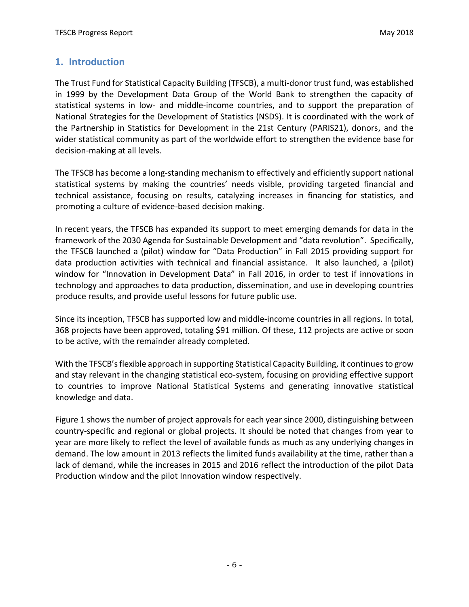# **1. Introduction**

The Trust Fund for Statistical Capacity Building (TFSCB), a multi-donor trust fund, was established in 1999 by the Development Data Group of the World Bank to strengthen the capacity of statistical systems in low- and middle-income countries, and to support the preparation of National Strategies for the Development of Statistics (NSDS). It is coordinated with the work of the Partnership in Statistics for Development in the 21st Century (PARIS21), donors, and the wider statistical community as part of the worldwide effort to strengthen the evidence base for decision-making at all levels.

The TFSCB has become a long-standing mechanism to effectively and efficiently support national statistical systems by making the countries' needs visible, providing targeted financial and technical assistance, focusing on results, catalyzing increases in financing for statistics, and promoting a culture of evidence-based decision making.

In recent years, the TFSCB has expanded its support to meet emerging demands for data in the framework of the 2030 Agenda for Sustainable Development and "data revolution". Specifically, the TFSCB launched a (pilot) window for "Data Production" in Fall 2015 providing support for data production activities with technical and financial assistance. It also launched, a (pilot) window for "Innovation in Development Data" in Fall 2016, in order to test if innovations in technology and approaches to data production, dissemination, and use in developing countries produce results, and provide useful lessons for future public use.

Since its inception, TFSCB has supported low and middle-income countries in all regions. In total, 368 projects have been approved, totaling \$91 million. Of these, 112 projects are active or soon to be active, with the remainder already completed.

With the TFSCB's flexible approach in supporting Statistical Capacity Building, it continues to grow and stay relevant in the changing statistical eco-system, focusing on providing effective support to countries to improve National Statistical Systems and generating innovative statistical knowledge and data.

Figure 1 shows the number of project approvals for each year since 2000, distinguishing between country-specific and regional or global projects. It should be noted that changes from year to year are more likely to reflect the level of available funds as much as any underlying changes in demand. The low amount in 2013 reflects the limited funds availability at the time, rather than a lack of demand, while the increases in 2015 and 2016 reflect the introduction of the pilot Data Production window and the pilot Innovation window respectively.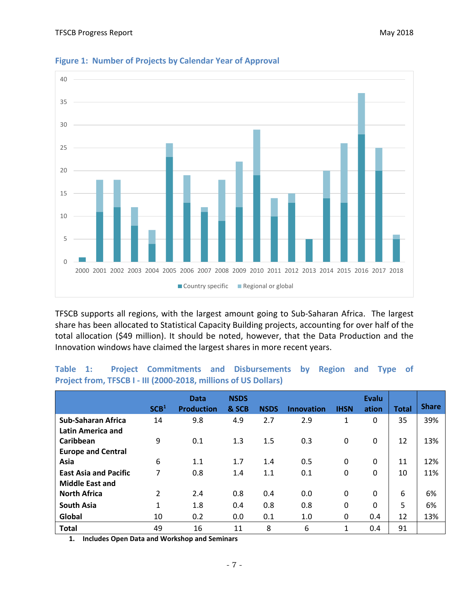

#### **Figure 1: Number of Projects by Calendar Year of Approval**

TFSCB supports all regions, with the largest amount going to Sub-Saharan Africa. The largest share has been allocated to Statistical Capacity Building projects, accounting for over half of the total allocation (\$49 million). It should be noted, however, that the Data Production and the Innovation windows have claimed the largest shares in more recent years.

|                                                        | SCB <sup>1</sup> | <b>Data</b><br><b>Production</b> | <b>NSDS</b><br>& SCB | <b>NSDS</b> | <b>Innovation</b> | <b>IHSN</b>  | <b>Evalu</b><br>ation | <b>Total</b> | <b>Share</b> |
|--------------------------------------------------------|------------------|----------------------------------|----------------------|-------------|-------------------|--------------|-----------------------|--------------|--------------|
| <b>Sub-Saharan Africa</b><br><b>Latin America and</b>  | 14               | 9.8                              | 4.9                  | 2.7         | 2.9               | 1            | 0                     | 35           | 39%          |
| Caribbean                                              | 9                | 0.1                              | 1.3                  | 1.5         | 0.3               | $\mathbf{0}$ | 0                     | 12           | 13%          |
| <b>Europe and Central</b>                              |                  |                                  |                      |             |                   |              |                       |              |              |
| Asia                                                   | 6                | 1.1                              | 1.7                  | 1.4         | 0.5               | $\mathbf{0}$ | $\mathbf{0}$          | 11           | 12%          |
| <b>East Asia and Pacific</b><br><b>Middle East and</b> | 7                | 0.8                              | 1.4                  | 1.1         | 0.1               | $\mathbf{0}$ | $\mathbf{0}$          | 10           | 11%          |
| <b>North Africa</b>                                    | $\mathcal{P}$    | 2.4                              | 0.8                  | 0.4         | 0.0               | $\mathbf{0}$ | $\mathbf{0}$          | 6            | 6%           |
| <b>South Asia</b>                                      | $\mathbf{1}$     | 1.8                              | 0.4                  | 0.8         | 0.8               | $\mathbf{0}$ | $\mathbf{0}$          | 5            | 6%           |
| Global                                                 | 10               | 0.2                              | 0.0                  | 0.1         | 1.0               | 0            | 0.4                   | 12           | 13%          |
| <b>Total</b>                                           | 49               | 16                               | 11                   | 8           | 6                 | $\mathbf{1}$ | 0.4                   | 91           |              |

#### **Table 1: Project Commitments and Disbursements by Region and Type of Project from, TFSCB I - III (2000-2018, millions of US Dollars)**

**1. Includes Open Data and Workshop and Seminars**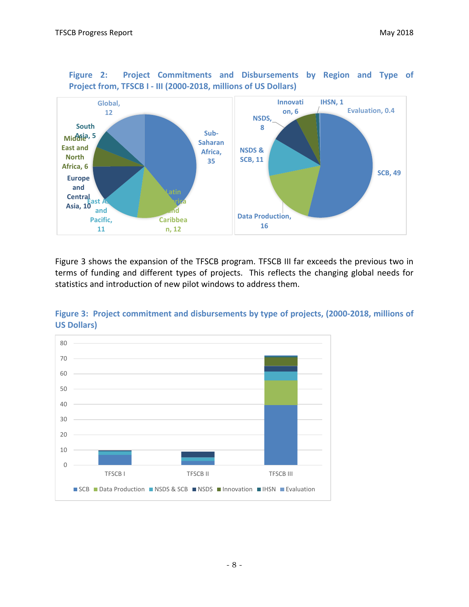

**Figure 2: Project Commitments and Disbursements by Region and Type of Project from, TFSCB I - III (2000-2018, millions of US Dollars)**

Figure 3 shows the expansion of the TFSCB program. TFSCB III far exceeds the previous two in terms of funding and different types of projects. This reflects the changing global needs for statistics and introduction of new pilot windows to address them.



**Figure 3: Project commitment and disbursements by type of projects, (2000-2018, millions of US Dollars)**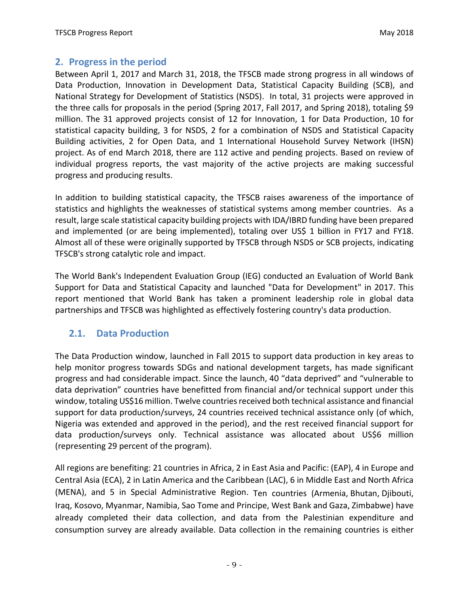### **2. Progress in the period**

Between April 1, 2017 and March 31, 2018, the TFSCB made strong progress in all windows of Data Production, Innovation in Development Data, Statistical Capacity Building (SCB), and National Strategy for Development of Statistics (NSDS). In total, 31 projects were approved in the three calls for proposals in the period (Spring 2017, Fall 2017, and Spring 2018), totaling \$9 million. The 31 approved projects consist of 12 for Innovation, 1 for Data Production, 10 for statistical capacity building, 3 for NSDS, 2 for a combination of NSDS and Statistical Capacity Building activities, 2 for Open Data, and 1 International Household Survey Network (IHSN) project. As of end March 2018, there are 112 active and pending projects. Based on review of individual progress reports, the vast majority of the active projects are making successful progress and producing results.

In addition to building statistical capacity, the TFSCB raises awareness of the importance of statistics and highlights the weaknesses of statistical systems among member countries. As a result, large scale statistical capacity building projects with IDA/IBRD funding have been prepared and implemented (or are being implemented), totaling over US\$ 1 billion in FY17 and FY18. Almost all of these were originally supported by TFSCB through NSDS or SCB projects, indicating TFSCB's strong catalytic role and impact.

The World Bank's Independent Evaluation Group (IEG) conducted an Evaluation of World Bank Support for Data and Statistical Capacity and launched "Data for Development" in 2017. This report mentioned that World Bank has taken a prominent leadership role in global data partnerships and TFSCB was highlighted as effectively fostering country's data production.

### **2.1. Data Production**

The Data Production window, launched in Fall 2015 to support data production in key areas to help monitor progress towards SDGs and national development targets, has made significant progress and had considerable impact. Since the launch, 40 "data deprived" and "vulnerable to data deprivation" countries have benefitted from financial and/or technical support under this window, totaling US\$16 million. Twelve countries received both technical assistance and financial support for data production/surveys, 24 countries received technical assistance only (of which, Nigeria was extended and approved in the period), and the rest received financial support for data production/surveys only. Technical assistance was allocated about US\$6 million (representing 29 percent of the program).

All regions are benefiting: 21 countries in Africa, 2 in East Asia and Pacific: (EAP), 4 in Europe and Central Asia (ECA), 2 in Latin America and the Caribbean (LAC), 6 in Middle East and North Africa (MENA), and 5 in Special Administrative Region. Ten countries (Armenia, Bhutan, Djibouti, Iraq, Kosovo, Myanmar, Namibia, Sao Tome and Principe, West Bank and Gaza, Zimbabwe) have already completed their data collection, and data from the Palestinian expenditure and consumption survey are already available. Data collection in the remaining countries is either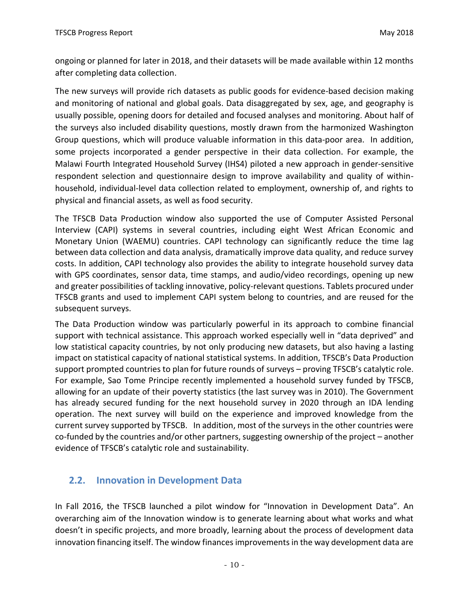ongoing or planned for later in 2018, and their datasets will be made available within 12 months after completing data collection.

The new surveys will provide rich datasets as public goods for evidence-based decision making and monitoring of national and global goals. Data disaggregated by sex, age, and geography is usually possible, opening doors for detailed and focused analyses and monitoring. About half of the surveys also included disability questions, mostly drawn from the harmonized Washington Group questions, which will produce valuable information in this data-poor area. In addition, some projects incorporated a gender perspective in their data collection. For example, the Malawi Fourth Integrated Household Survey (IHS4) piloted a new approach in gender-sensitive respondent selection and questionnaire design to improve availability and quality of withinhousehold, individual-level data collection related to employment, ownership of, and rights to physical and financial assets, as well as food security.

The TFSCB Data Production window also supported the use of Computer Assisted Personal Interview (CAPI) systems in several countries, including eight West African Economic and Monetary Union (WAEMU) countries. CAPI technology can significantly reduce the time lag between data collection and data analysis, dramatically improve data quality, and reduce survey costs. In addition, CAPI technology also provides the ability to integrate household survey data with GPS coordinates, sensor data, time stamps, and audio/video recordings, opening up new and greater possibilities of tackling innovative, policy-relevant questions. Tablets procured under TFSCB grants and used to implement CAPI system belong to countries, and are reused for the subsequent surveys.

The Data Production window was particularly powerful in its approach to combine financial support with technical assistance. This approach worked especially well in "data deprived" and low statistical capacity countries, by not only producing new datasets, but also having a lasting impact on statistical capacity of national statistical systems. In addition, TFSCB's Data Production support prompted countries to plan for future rounds of surveys – proving TFSCB's catalytic role. For example, Sao Tome Principe recently implemented a household survey funded by TFSCB, allowing for an update of their poverty statistics (the last survey was in 2010). The Government has already secured funding for the next household survey in 2020 through an IDA lending operation. The next survey will build on the experience and improved knowledge from the current survey supported by TFSCB. In addition, most of the surveys in the other countries were co-funded by the countries and/or other partners, suggesting ownership of the project – another evidence of TFSCB's catalytic role and sustainability.

# **2.2. Innovation in Development Data**

In Fall 2016, the TFSCB launched a pilot window for "Innovation in Development Data". An overarching aim of the Innovation window is to generate learning about what works and what doesn't in specific projects, and more broadly, learning about the process of development data innovation financing itself. The window finances improvements in the way development data are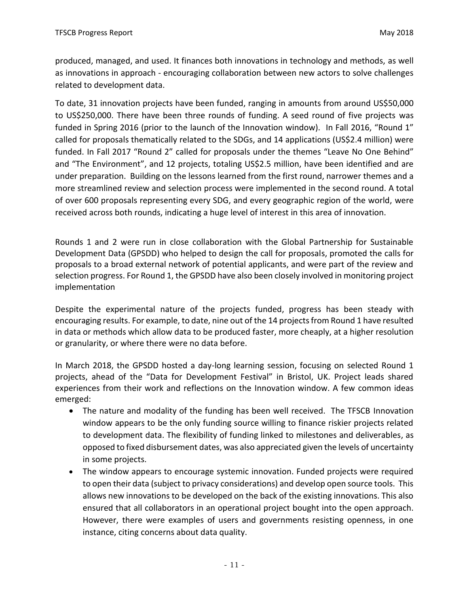produced, managed, and used. It finances both innovations in technology and methods, as well as innovations in approach - encouraging collaboration between new actors to solve challenges related to development data.

To date, 31 innovation projects have been funded, ranging in amounts from around US\$50,000 to US\$250,000. There have been three rounds of funding. A seed round of five projects was funded in Spring 2016 (prior to the launch of the Innovation window). In Fall 2016, "Round 1" called for proposals thematically related to the SDGs, and 14 applications (US\$2.4 million) were funded. In Fall 2017 "Round 2" called for proposals under the themes "Leave No One Behind" and "The Environment", and 12 projects, totaling US\$2.5 million, have been identified and are under preparation. Building on the lessons learned from the first round, narrower themes and a more streamlined review and selection process were implemented in the second round. A total of over 600 proposals representing every SDG, and every geographic region of the world, were received across both rounds, indicating a huge level of interest in this area of innovation.

Rounds 1 and 2 were run in close collaboration with the Global Partnership for Sustainable Development Data (GPSDD) who helped to design the call for proposals, promoted the calls for proposals to a broad external network of potential applicants, and were part of the review and selection progress. For Round 1, the GPSDD have also been closely involved in monitoring project implementation

Despite the experimental nature of the projects funded, progress has been steady with encouraging results. For example, to date, nine out of the 14 projects from Round 1 have resulted in data or methods which allow data to be produced faster, more cheaply, at a higher resolution or granularity, or where there were no data before.

In March 2018, the GPSDD hosted a day-long learning session, focusing on selected Round 1 projects, ahead of the "Data for Development Festival" in Bristol, UK. Project leads shared experiences from their work and reflections on the Innovation window. A few common ideas emerged:

- The nature and modality of the funding has been well received. The TFSCB Innovation window appears to be the only funding source willing to finance riskier projects related to development data. The flexibility of funding linked to milestones and deliverables, as opposed to fixed disbursement dates, was also appreciated given the levels of uncertainty in some projects.
- The window appears to encourage systemic innovation. Funded projects were required to open their data (subject to privacy considerations) and develop open source tools. This allows new innovations to be developed on the back of the existing innovations. This also ensured that all collaborators in an operational project bought into the open approach. However, there were examples of users and governments resisting openness, in one instance, citing concerns about data quality.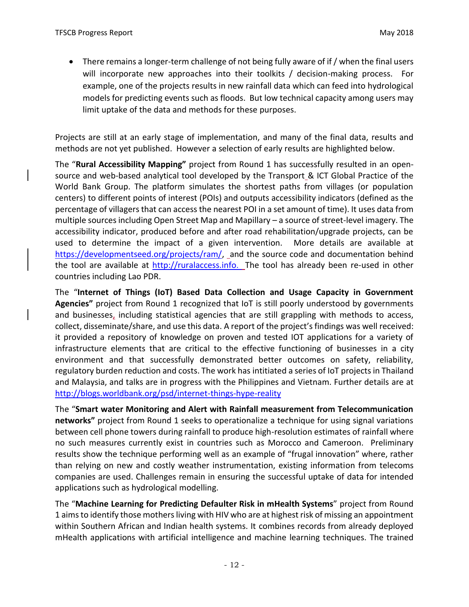• There remains a longer-term challenge of not being fully aware of if / when the final users will incorporate new approaches into their toolkits / decision-making process. For example, one of the projects results in new rainfall data which can feed into hydrological models for predicting events such as floods. But low technical capacity among users may limit uptake of the data and methods for these purposes.

Projects are still at an early stage of implementation, and many of the final data, results and methods are not yet published. However a selection of early results are highlighted below.

The "**Rural Accessibility Mapping"** project from Round 1 has successfully resulted in an opensource and web-based analytical tool developed by the Transport & ICT Global Practice of the World Bank Group. The platform simulates the shortest paths from villages (or population centers) to different points of interest (POIs) and outputs accessibility indicators (defined as the percentage of villagers that can access the nearest POI in a set amount of time). It uses data from multiple sources including Open Street Map and Mapillary – a source of street-level imagery. The accessibility indicator, produced before and after road rehabilitation/upgrade projects, can be used to determine the impact of a given intervention. More details are available at [https://developmentseed.org/projects/ram/,](https://developmentseed.org/projects/ram/) and the source code and documentation behind the tool are available at [http://ruralaccess.info](http://ruralaccess.info/). The tool has already been re-used in other countries including Lao PDR.

The "**Internet of Things (IoT) Based Data Collection and Usage Capacity in Government Agencies"** project from Round 1 recognized that IoT is still poorly understood by governments and businesses, including statistical agencies that are still grappling with methods to access, collect, disseminate/share, and use this data. A report of the project's findings was well received: it provided a repository of knowledge on proven and tested IOT applications for a variety of infrastructure elements that are critical to the effective functioning of businesses in a city environment and that successfully demonstrated better outcomes on safety, reliability, regulatory burden reduction and costs. The work has intitiated a series of IoT projects in Thailand and Malaysia, and talks are in progress with the Philippines and Vietnam. Further details are at <http://blogs.worldbank.org/psd/internet-things-hype-reality>

The "**Smart water Monitoring and Alert with Rainfall measurement from Telecommunication networks"** project from Round 1 seeks to operationalize a technique for using signal variations between cell phone towers during rainfall to produce high-resolution estimates of rainfall where no such measures currently exist in countries such as Morocco and Cameroon. Preliminary results show the technique performing well as an example of "frugal innovation" where, rather than relying on new and costly weather instrumentation, existing information from telecoms companies are used. Challenges remain in ensuring the successful uptake of data for intended applications such as hydrological modelling.

The "**Machine Learning for Predicting Defaulter Risk in mHealth Systems**" project from Round 1 aims to identify those mothers living with HIV who are at highest risk of missing an appointment within Southern African and Indian health systems. It combines records from already deployed mHealth applications with artificial intelligence and machine learning techniques. The trained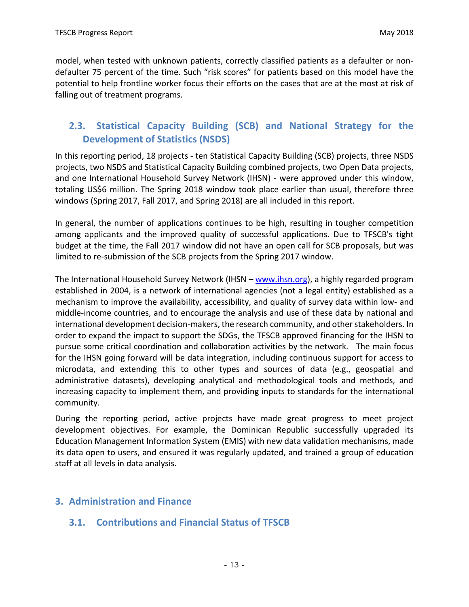model, when tested with unknown patients, correctly classified patients as a defaulter or nondefaulter 75 percent of the time. Such "risk scores" for patients based on this model have the potential to help frontline worker focus their efforts on the cases that are at the most at risk of falling out of treatment programs.

# **2.3. Statistical Capacity Building (SCB) and National Strategy for the Development of Statistics (NSDS)**

In this reporting period, 18 projects - ten Statistical Capacity Building (SCB) projects, three NSDS projects, two NSDS and Statistical Capacity Building combined projects, two Open Data projects, and one International Household Survey Network (IHSN) - were approved under this window, totaling US\$6 million. The Spring 2018 window took place earlier than usual, therefore three windows (Spring 2017, Fall 2017, and Spring 2018) are all included in this report.

In general, the number of applications continues to be high, resulting in tougher competition among applicants and the improved quality of successful applications. Due to TFSCB's tight budget at the time, the Fall 2017 window did not have an open call for SCB proposals, but was limited to re-submission of the SCB projects from the Spring 2017 window.

The International Household Survey Network (IHSN – [www.ihsn.org\)](http://www.ihsn.org/), a highly regarded program established in 2004, is a network of international agencies (not a legal entity) established as a mechanism to improve the availability, accessibility, and quality of survey data within low- and middle-income countries, and to encourage the analysis and use of these data by national and international development decision-makers, the research community, and other stakeholders. In order to expand the impact to support the SDGs, the TFSCB approved financing for the IHSN to pursue some critical coordination and collaboration activities by the network. The main focus for the IHSN going forward will be data integration, including continuous support for access to microdata, and extending this to other types and sources of data (e.g., geospatial and administrative datasets), developing analytical and methodological tools and methods, and increasing capacity to implement them, and providing inputs to standards for the international community.

During the reporting period, active projects have made great progress to meet project development objectives. For example, the Dominican Republic successfully upgraded its Education Management Information System (EMIS) with new data validation mechanisms, made its data open to users, and ensured it was regularly updated, and trained a group of education staff at all levels in data analysis.

### **3. Administration and Finance**

# **3.1. Contributions and Financial Status of TFSCB**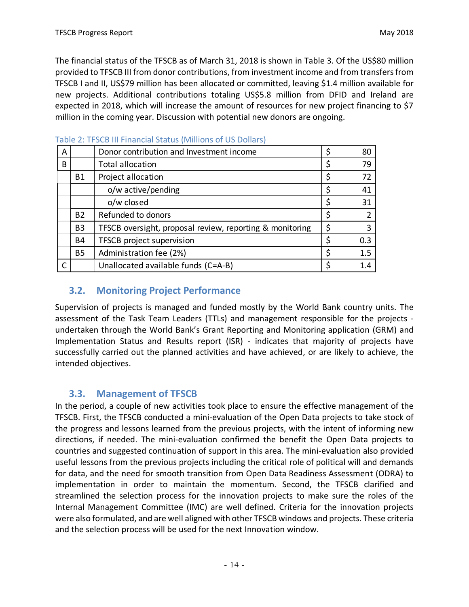The financial status of the TFSCB as of March 31, 2018 is shown in Table 3. Of the US\$80 million provided to TFSCB III from donor contributions, from investment income and from transfers from TFSCB I and II, US\$79 million has been allocated or committed, leaving \$1.4 million available for new projects. Additional contributions totaling US\$5.8 million from DFID and Ireland are expected in 2018, which will increase the amount of resources for new project financing to \$7 million in the coming year. Discussion with potential new donors are ongoing.

| A            |                | Donor contribution and Investment income                 | Ś  | 80  |
|--------------|----------------|----------------------------------------------------------|----|-----|
| B            |                | <b>Total allocation</b>                                  |    | 79  |
|              | <b>B1</b>      | Project allocation                                       |    | 72  |
|              |                | o/w active/pending                                       |    | 41  |
|              |                | o/w closed                                               | Ş  | 31  |
|              | <b>B2</b>      | Refunded to donors                                       |    |     |
|              | B <sub>3</sub> | TFSCB oversight, proposal review, reporting & monitoring | \$ | 3   |
|              | <b>B4</b>      | TFSCB project supervision                                | ς  | 0.3 |
|              | <b>B5</b>      | Administration fee (2%)                                  |    | 1.5 |
| $\mathsf{C}$ |                | Unallocated available funds (C=A-B)                      |    | 1.4 |

Table 2: TFSCB III Financial Status (Millions of US Dollars)

# **3.2. Monitoring Project Performance**

Supervision of projects is managed and funded mostly by the World Bank country units. The assessment of the Task Team Leaders (TTLs) and management responsible for the projects undertaken through the World Bank's Grant Reporting and Monitoring application (GRM) and Implementation Status and Results report (ISR) - indicates that majority of projects have successfully carried out the planned activities and have achieved, or are likely to achieve, the intended objectives.

# **3.3. Management of TFSCB**

In the period, a couple of new activities took place to ensure the effective management of the TFSCB. First, the TFSCB conducted a mini-evaluation of the Open Data projects to take stock of the progress and lessons learned from the previous projects, with the intent of informing new directions, if needed. The mini-evaluation confirmed the benefit the Open Data projects to countries and suggested continuation of support in this area. The mini-evaluation also provided useful lessons from the previous projects including the critical role of political will and demands for data, and the need for smooth transition from Open Data Readiness Assessment (ODRA) to implementation in order to maintain the momentum. Second, the TFSCB clarified and streamlined the selection process for the innovation projects to make sure the roles of the Internal Management Committee (IMC) are well defined. Criteria for the innovation projects were also formulated, and are well aligned with other TFSCB windows and projects. These criteria and the selection process will be used for the next Innovation window.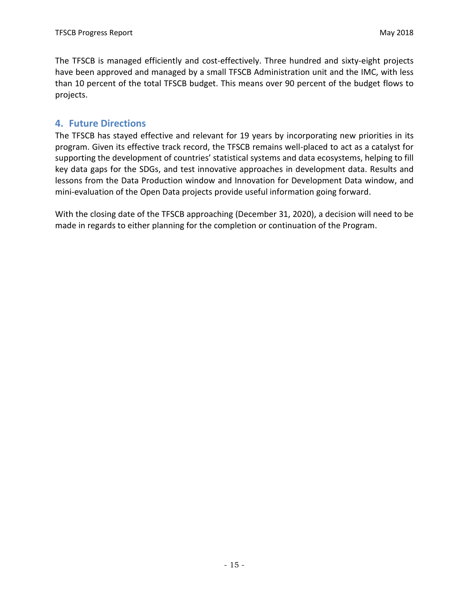The TFSCB is managed efficiently and cost-effectively. Three hundred and sixty-eight projects have been approved and managed by a small TFSCB Administration unit and the IMC, with less than 10 percent of the total TFSCB budget. This means over 90 percent of the budget flows to projects.

#### **4. Future Directions**

The TFSCB has stayed effective and relevant for 19 years by incorporating new priorities in its program. Given its effective track record, the TFSCB remains well-placed to act as a catalyst for supporting the development of countries' statistical systems and data ecosystems, helping to fill key data gaps for the SDGs, and test innovative approaches in development data. Results and lessons from the Data Production window and Innovation for Development Data window, and mini-evaluation of the Open Data projects provide useful information going forward.

With the closing date of the TFSCB approaching (December 31, 2020), a decision will need to be made in regards to either planning for the completion or continuation of the Program.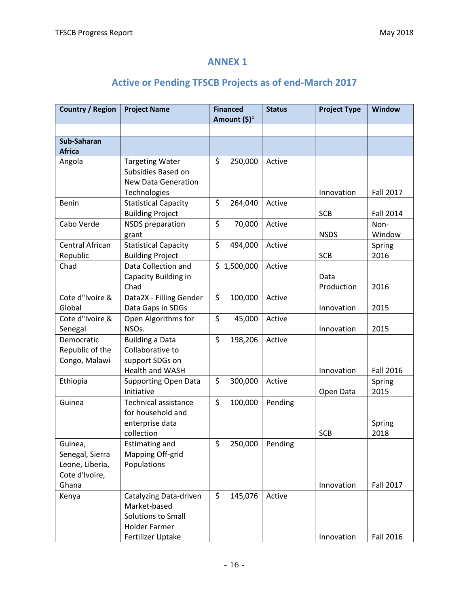# **ANNEX 1**

# **Active or Pending TFSCB Projects as of end-March 2017**

| Country / Region                                                | <b>Project Name</b>                                                                                       | <b>Financed</b><br>Amount $(\xi)^1$ | <b>Status</b> | <b>Project Type</b> | <b>Window</b>    |
|-----------------------------------------------------------------|-----------------------------------------------------------------------------------------------------------|-------------------------------------|---------------|---------------------|------------------|
|                                                                 |                                                                                                           |                                     |               |                     |                  |
| Sub-Saharan<br><b>Africa</b>                                    |                                                                                                           |                                     |               |                     |                  |
| Angola                                                          | <b>Targeting Water</b><br>Subsidies Based on<br><b>New Data Generation</b><br>Technologies                | \$<br>250,000                       | Active        | Innovation          | <b>Fall 2017</b> |
| Benin                                                           | <b>Statistical Capacity</b><br><b>Building Project</b>                                                    | \$<br>264,040                       | Active        | <b>SCB</b>          | <b>Fall 2014</b> |
| Cabo Verde                                                      | <b>NSDS</b> preparation<br>grant                                                                          | \$<br>70,000                        | Active        | <b>NSDS</b>         | Non-<br>Window   |
| Central African<br>Republic                                     | <b>Statistical Capacity</b><br><b>Building Project</b>                                                    | \$<br>494,000                       | Active        | <b>SCB</b>          | Spring<br>2016   |
| Chad                                                            | Data Collection and<br>Capacity Building in<br>Chad                                                       | \$1,500,000                         | Active        | Data<br>Production  | 2016             |
| Cote d"Ivoire &<br>Global                                       | Data2X - Filling Gender<br>Data Gaps in SDGs                                                              | \$<br>100,000                       | Active        | Innovation          | 2015             |
| Cote d"Ivoire &<br>Senegal                                      | Open Algorithms for<br>NSOs.                                                                              | \$<br>45,000                        | Active        | Innovation          | 2015             |
| Democratic<br>Republic of the<br>Congo, Malawi                  | <b>Building a Data</b><br>Collaborative to<br>support SDGs on<br><b>Health and WASH</b>                   | \$<br>198,206                       | Active        | Innovation          | <b>Fall 2016</b> |
| Ethiopia                                                        | <b>Supporting Open Data</b><br>Initiative                                                                 | \$<br>300,000                       | Active        | Open Data           | Spring<br>2015   |
| Guinea                                                          | Technical assistance<br>for household and<br>enterprise data<br>collection                                | \$<br>100,000                       | Pending       | <b>SCB</b>          | Spring<br>2018   |
| Guinea,<br>Senegal, Sierra<br>Leone, Liberia,<br>Cote d'Ivoire, | <b>Estimating and</b><br>Mapping Off-grid<br>Populations                                                  | \$<br>250,000                       | Pending       |                     |                  |
| Ghana                                                           |                                                                                                           |                                     |               | Innovation          | <b>Fall 2017</b> |
| Kenya                                                           | Catalyzing Data-driven<br>Market-based<br>Solutions to Small<br><b>Holder Farmer</b><br>Fertilizer Uptake | \$<br>145,076                       | Active        | Innovation          | <b>Fall 2016</b> |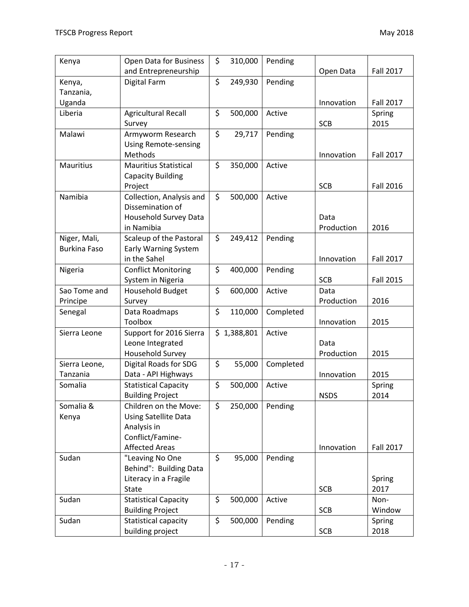| Kenya               | Open Data for Business       | \$<br>310,000 | Pending   |             |                  |
|---------------------|------------------------------|---------------|-----------|-------------|------------------|
|                     | and Entrepreneurship         |               |           | Open Data   | <b>Fall 2017</b> |
| Kenya,              | <b>Digital Farm</b>          | \$<br>249,930 | Pending   |             |                  |
| Tanzania,           |                              |               |           |             |                  |
| Uganda              |                              |               |           | Innovation  | <b>Fall 2017</b> |
| Liberia             | <b>Agricultural Recall</b>   | \$<br>500,000 | Active    |             | Spring           |
|                     | Survey                       |               |           | <b>SCB</b>  | 2015             |
| Malawi              | Armyworm Research            | \$<br>29,717  | Pending   |             |                  |
|                     | <b>Using Remote-sensing</b>  |               |           |             |                  |
|                     | Methods                      |               |           | Innovation  | <b>Fall 2017</b> |
| Mauritius           | <b>Mauritius Statistical</b> | \$<br>350,000 | Active    |             |                  |
|                     | <b>Capacity Building</b>     |               |           |             |                  |
|                     | Project                      |               |           | <b>SCB</b>  | <b>Fall 2016</b> |
| Namibia             | Collection, Analysis and     | \$<br>500,000 | Active    |             |                  |
|                     | Dissemination of             |               |           |             |                  |
|                     | Household Survey Data        |               |           | Data        |                  |
|                     | in Namibia                   |               |           | Production  | 2016             |
| Niger, Mali,        | Scaleup of the Pastoral      | \$<br>249,412 | Pending   |             |                  |
| <b>Burkina Faso</b> | <b>Early Warning System</b>  |               |           |             |                  |
|                     | in the Sahel                 |               |           | Innovation  | <b>Fall 2017</b> |
| Nigeria             | <b>Conflict Monitoring</b>   | \$<br>400,000 | Pending   |             |                  |
|                     | System in Nigeria            |               |           | <b>SCB</b>  | <b>Fall 2015</b> |
| Sao Tome and        | <b>Household Budget</b>      | \$<br>600,000 | Active    | Data        |                  |
| Principe            | Survey                       |               |           | Production  | 2016             |
| Senegal             | Data Roadmaps                | \$<br>110,000 | Completed |             |                  |
|                     | <b>Toolbox</b>               |               |           | Innovation  | 2015             |
| Sierra Leone        | Support for 2016 Sierra      | \$1,388,801   | Active    |             |                  |
|                     | Leone Integrated             |               |           | Data        |                  |
|                     | <b>Household Survey</b>      |               |           | Production  | 2015             |
| Sierra Leone,       | Digital Roads for SDG        | \$<br>55,000  | Completed |             |                  |
| Tanzania            | Data - API Highways          |               |           | Innovation  | 2015             |
| Somalia             | <b>Statistical Capacity</b>  | \$<br>500,000 | Active    |             | Spring           |
|                     | <b>Building Project</b>      |               |           | <b>NSDS</b> | 2014             |
| Somalia &           | Children on the Move:        | \$<br>250,000 | Pending   |             |                  |
| Kenya               | Using Satellite Data         |               |           |             |                  |
|                     | Analysis in                  |               |           |             |                  |
|                     | Conflict/Famine-             |               |           |             |                  |
|                     | <b>Affected Areas</b>        |               |           | Innovation  | <b>Fall 2017</b> |
| Sudan               | "Leaving No One              | \$<br>95,000  | Pending   |             |                  |
|                     | Behind": Building Data       |               |           |             |                  |
|                     | Literacy in a Fragile        |               |           |             | Spring           |
|                     | <b>State</b>                 |               |           | <b>SCB</b>  | 2017             |
| Sudan               | <b>Statistical Capacity</b>  | \$<br>500,000 | Active    |             | Non-             |
|                     | <b>Building Project</b>      |               |           | <b>SCB</b>  | Window           |
| Sudan               | Statistical capacity         | \$<br>500,000 | Pending   |             | Spring           |
|                     | building project             |               |           | <b>SCB</b>  | 2018             |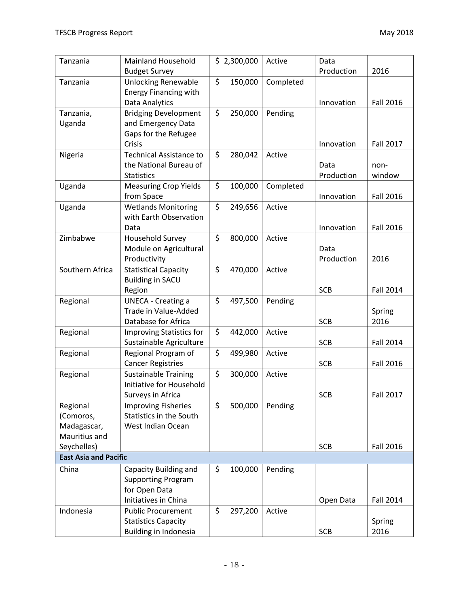| Tanzania                     | <b>Mainland Household</b>       | \$2,300,000   | Active    | Data       |                  |
|------------------------------|---------------------------------|---------------|-----------|------------|------------------|
|                              | <b>Budget Survey</b>            |               |           | Production | 2016             |
| Tanzania                     | <b>Unlocking Renewable</b>      | \$<br>150,000 | Completed |            |                  |
|                              | <b>Energy Financing with</b>    |               |           |            |                  |
|                              | Data Analytics                  |               |           | Innovation | <b>Fall 2016</b> |
| Tanzania,                    | <b>Bridging Development</b>     | \$<br>250,000 | Pending   |            |                  |
| Uganda                       | and Emergency Data              |               |           |            |                  |
|                              | Gaps for the Refugee            |               |           |            |                  |
|                              | Crisis                          |               |           | Innovation | <b>Fall 2017</b> |
| Nigeria                      | <b>Technical Assistance to</b>  | \$<br>280,042 | Active    |            |                  |
|                              | the National Bureau of          |               |           | Data       | non-             |
|                              | <b>Statistics</b>               |               |           | Production | window           |
| Uganda                       | <b>Measuring Crop Yields</b>    | \$<br>100,000 | Completed |            |                  |
|                              | from Space                      |               |           | Innovation | <b>Fall 2016</b> |
| Uganda                       | <b>Wetlands Monitoring</b>      | \$<br>249,656 | Active    |            |                  |
|                              | with Earth Observation          |               |           |            |                  |
|                              | Data                            |               |           | Innovation | <b>Fall 2016</b> |
| Zimbabwe                     | <b>Household Survey</b>         | \$<br>800,000 | Active    |            |                  |
|                              | Module on Agricultural          |               |           | Data       |                  |
|                              | Productivity                    |               |           | Production | 2016             |
| Southern Africa              | <b>Statistical Capacity</b>     | \$<br>470,000 | Active    |            |                  |
|                              | <b>Building in SACU</b>         |               |           |            |                  |
|                              | Region                          |               |           | <b>SCB</b> | <b>Fall 2014</b> |
| Regional                     | <b>UNECA - Creating a</b>       | \$<br>497,500 | Pending   |            |                  |
|                              | Trade in Value-Added            |               |           |            | Spring           |
|                              | Database for Africa             |               |           | <b>SCB</b> | 2016             |
| Regional                     | <b>Improving Statistics for</b> | \$<br>442,000 | Active    |            |                  |
|                              | Sustainable Agriculture         |               |           | <b>SCB</b> | <b>Fall 2014</b> |
| Regional                     | Regional Program of             | \$<br>499,980 | Active    |            |                  |
|                              | <b>Cancer Registries</b>        |               |           | <b>SCB</b> | <b>Fall 2016</b> |
| Regional                     | <b>Sustainable Training</b>     | \$<br>300,000 | Active    |            |                  |
|                              | Initiative for Household        |               |           |            |                  |
|                              | Surveys in Africa               |               |           | <b>SCB</b> | <b>Fall 2017</b> |
| Regional                     | <b>Improving Fisheries</b>      | \$<br>500,000 | Pending   |            |                  |
| (Comoros,                    | Statistics in the South         |               |           |            |                  |
| Madagascar,                  | West Indian Ocean               |               |           |            |                  |
| Mauritius and                |                                 |               |           |            |                  |
| Seychelles)                  |                                 |               |           | <b>SCB</b> | <b>Fall 2016</b> |
| <b>East Asia and Pacific</b> |                                 |               |           |            |                  |
| China                        | Capacity Building and           | \$<br>100,000 | Pending   |            |                  |
|                              | <b>Supporting Program</b>       |               |           |            |                  |
|                              | for Open Data                   |               |           |            |                  |
|                              | Initiatives in China            |               |           | Open Data  | Fall 2014        |
| Indonesia                    | <b>Public Procurement</b>       | \$<br>297,200 | Active    |            |                  |
|                              | <b>Statistics Capacity</b>      |               |           |            | Spring           |
|                              | Building in Indonesia           |               |           | <b>SCB</b> | 2016             |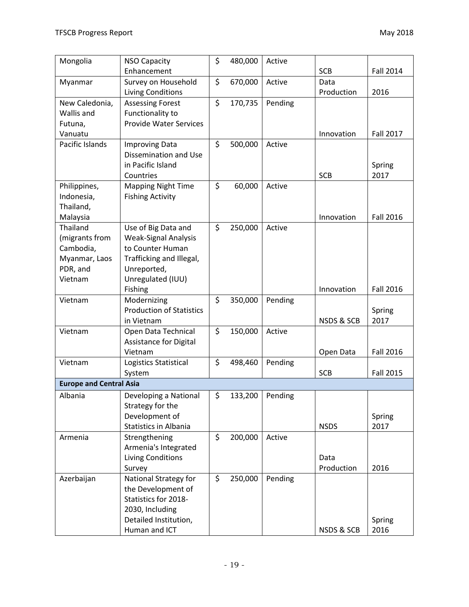| Mongolia                       | <b>NSO Capacity</b>                            | \$<br>480,000 | Active  |                       |                  |
|--------------------------------|------------------------------------------------|---------------|---------|-----------------------|------------------|
|                                | Enhancement                                    |               |         | <b>SCB</b>            | <b>Fall 2014</b> |
| Myanmar                        | Survey on Household                            | \$<br>670,000 | Active  | Data                  |                  |
|                                | <b>Living Conditions</b>                       |               |         | Production            | 2016             |
| New Caledonia,                 | <b>Assessing Forest</b>                        | \$<br>170,735 | Pending |                       |                  |
| Wallis and                     | Functionality to                               |               |         |                       |                  |
| Futuna,                        | <b>Provide Water Services</b>                  |               |         |                       |                  |
| Vanuatu                        |                                                |               |         | Innovation            | <b>Fall 2017</b> |
| Pacific Islands                | <b>Improving Data</b>                          | \$<br>500,000 | Active  |                       |                  |
|                                | Dissemination and Use                          |               |         |                       |                  |
|                                | in Pacific Island                              |               |         |                       | Spring           |
|                                | Countries                                      |               |         | <b>SCB</b>            | 2017             |
| Philippines,                   | <b>Mapping Night Time</b>                      | \$<br>60,000  | Active  |                       |                  |
| Indonesia,                     | <b>Fishing Activity</b>                        |               |         |                       |                  |
| Thailand,                      |                                                |               |         |                       |                  |
| Malaysia                       |                                                |               |         | Innovation            | <b>Fall 2016</b> |
| Thailand                       | Use of Big Data and                            | \$<br>250,000 | Active  |                       |                  |
| (migrants from                 | <b>Weak-Signal Analysis</b>                    |               |         |                       |                  |
| Cambodia,                      | to Counter Human                               |               |         |                       |                  |
| Myanmar, Laos                  | Trafficking and Illegal,                       |               |         |                       |                  |
| PDR, and                       | Unreported,                                    |               |         |                       |                  |
| Vietnam                        | Unregulated (IUU)                              |               |         |                       |                  |
|                                | Fishing                                        |               |         | Innovation            | <b>Fall 2016</b> |
| Vietnam                        | Modernizing                                    | \$<br>350,000 | Pending |                       |                  |
|                                | <b>Production of Statistics</b>                |               |         |                       | Spring           |
|                                | in Vietnam                                     |               |         | <b>NSDS &amp; SCB</b> | 2017             |
| Vietnam                        | Open Data Technical                            | \$<br>150,000 | Active  |                       |                  |
|                                | Assistance for Digital                         |               |         |                       |                  |
| Vietnam                        | Vietnam                                        | \$            |         | Open Data             | <b>Fall 2016</b> |
|                                | Logistics Statistical                          | 498,460       | Pending | <b>SCB</b>            | <b>Fall 2015</b> |
| <b>Europe and Central Asia</b> | System                                         |               |         |                       |                  |
|                                |                                                |               |         |                       |                  |
| Albania                        | Developing a National                          | \$<br>133,200 | Pending |                       |                  |
|                                | Strategy for the                               |               |         |                       |                  |
|                                | Development of<br><b>Statistics in Albania</b> |               |         | <b>NSDS</b>           | Spring<br>2017   |
|                                |                                                | \$            |         |                       |                  |
| Armenia                        | Strengthening<br>Armenia's Integrated          | 200,000       | Active  |                       |                  |
|                                | <b>Living Conditions</b>                       |               |         | Data                  |                  |
|                                | Survey                                         |               |         | Production            | 2016             |
| Azerbaijan                     | National Strategy for                          | \$<br>250,000 | Pending |                       |                  |
|                                | the Development of                             |               |         |                       |                  |
|                                | Statistics for 2018-                           |               |         |                       |                  |
|                                | 2030, Including                                |               |         |                       |                  |
|                                | Detailed Institution,                          |               |         |                       | Spring           |
|                                | Human and ICT                                  |               |         | NSDS & SCB            | 2016             |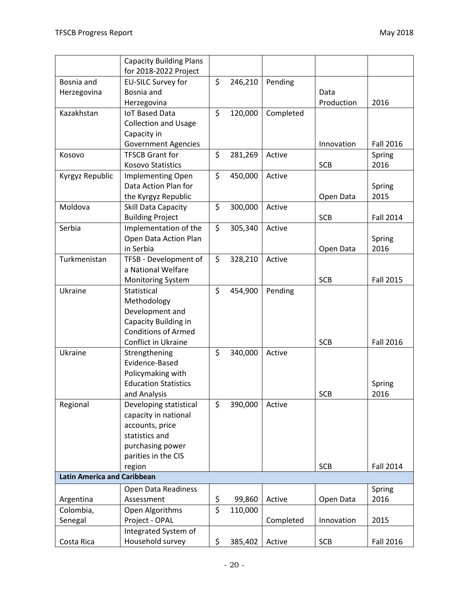|                                    | <b>Capacity Building Plans</b> |                  |         |           |            |                  |
|------------------------------------|--------------------------------|------------------|---------|-----------|------------|------------------|
|                                    | for 2018-2022 Project          |                  |         |           |            |                  |
| Bosnia and                         | EU-SILC Survey for             | \$               | 246,210 | Pending   |            |                  |
| Herzegovina                        | Bosnia and                     |                  |         |           | Data       |                  |
|                                    | Herzegovina                    |                  |         |           | Production | 2016             |
| Kazakhstan                         | <b>IoT Based Data</b>          | \$               | 120,000 | Completed |            |                  |
|                                    | <b>Collection and Usage</b>    |                  |         |           |            |                  |
|                                    | Capacity in                    |                  |         |           |            |                  |
|                                    | <b>Government Agencies</b>     |                  |         |           | Innovation | <b>Fall 2016</b> |
| Kosovo                             | <b>TFSCB Grant for</b>         | \$               | 281,269 | Active    |            | Spring           |
|                                    | <b>Kosovo Statistics</b>       |                  |         |           | <b>SCB</b> | 2016             |
| Kyrgyz Republic                    | <b>Implementing Open</b>       | \$               | 450,000 | Active    |            |                  |
|                                    | Data Action Plan for           |                  |         |           |            | Spring           |
|                                    | the Kyrgyz Republic            |                  |         |           | Open Data  | 2015             |
| Moldova                            | Skill Data Capacity            | \$               | 300,000 | Active    |            |                  |
|                                    | <b>Building Project</b>        |                  |         |           | <b>SCB</b> | Fall 2014        |
| Serbia                             | Implementation of the          | \$               | 305,340 | Active    |            |                  |
|                                    | Open Data Action Plan          |                  |         |           |            | Spring           |
|                                    | in Serbia                      |                  |         |           | Open Data  | 2016             |
| Turkmenistan                       | TFSB - Development of          | \$               | 328,210 | Active    |            |                  |
|                                    | a National Welfare             |                  |         |           |            |                  |
|                                    | <b>Monitoring System</b>       |                  |         |           | <b>SCB</b> | <b>Fall 2015</b> |
| Ukraine                            | Statistical                    | \$               | 454,900 | Pending   |            |                  |
|                                    | Methodology                    |                  |         |           |            |                  |
|                                    | Development and                |                  |         |           |            |                  |
|                                    | Capacity Building in           |                  |         |           |            |                  |
|                                    | <b>Conditions of Armed</b>     |                  |         |           |            |                  |
|                                    | <b>Conflict in Ukraine</b>     |                  |         |           | <b>SCB</b> | <b>Fall 2016</b> |
| Ukraine                            | Strengthening                  | \$               | 340,000 | Active    |            |                  |
|                                    | Evidence-Based                 |                  |         |           |            |                  |
|                                    | Policymaking with              |                  |         |           |            |                  |
|                                    | <b>Education Statistics</b>    |                  |         |           |            | Spring           |
|                                    | and Analysis                   |                  |         |           | <b>SCB</b> | 2016             |
| Regional                           | Developing statistical         | \$               | 390,000 | Active    |            |                  |
|                                    | capacity in national           |                  |         |           |            |                  |
|                                    | accounts, price                |                  |         |           |            |                  |
|                                    | statistics and                 |                  |         |           |            |                  |
|                                    | purchasing power               |                  |         |           |            |                  |
|                                    | parities in the CIS            |                  |         |           |            |                  |
|                                    | region                         |                  |         |           | <b>SCB</b> | <b>Fall 2014</b> |
| <b>Latin America and Caribbean</b> |                                |                  |         |           |            |                  |
|                                    | Open Data Readiness            |                  |         |           |            | Spring           |
| Argentina                          | Assessment                     | \$               | 99,860  | Active    | Open Data  | 2016             |
| Colombia,                          | Open Algorithms                | $\overline{\xi}$ | 110,000 |           |            |                  |
| Senegal                            | Project - OPAL                 |                  |         | Completed | Innovation | 2015             |
|                                    | Integrated System of           |                  |         |           |            |                  |
| Costa Rica                         | Household survey               | \$               | 385,402 | Active    | <b>SCB</b> | Fall 2016        |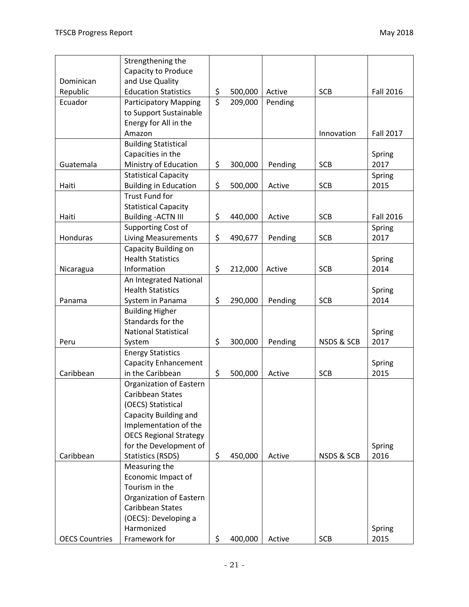|                       | Strengthening the             |                         |         |         |            |                  |
|-----------------------|-------------------------------|-------------------------|---------|---------|------------|------------------|
|                       | Capacity to Produce           |                         |         |         |            |                  |
| Dominican             | and Use Quality               |                         |         |         |            |                  |
| Republic              | <b>Education Statistics</b>   | \$                      | 500,000 | Active  | <b>SCB</b> | <b>Fall 2016</b> |
| Ecuador               | <b>Participatory Mapping</b>  | $\overline{\mathsf{S}}$ | 209,000 | Pending |            |                  |
|                       | to Support Sustainable        |                         |         |         |            |                  |
|                       | Energy for All in the         |                         |         |         |            |                  |
|                       | Amazon                        |                         |         |         | Innovation | <b>Fall 2017</b> |
|                       | <b>Building Statistical</b>   |                         |         |         |            |                  |
|                       | Capacities in the             |                         |         |         |            | Spring           |
| Guatemala             | Ministry of Education         | \$                      | 300,000 | Pending | <b>SCB</b> | 2017             |
|                       | <b>Statistical Capacity</b>   |                         |         |         |            | Spring           |
| Haiti                 | <b>Building in Education</b>  | \$                      | 500,000 | Active  | <b>SCB</b> | 2015             |
|                       | <b>Trust Fund for</b>         |                         |         |         |            |                  |
|                       | <b>Statistical Capacity</b>   |                         |         |         |            |                  |
| Haiti                 | <b>Building - ACTN III</b>    | \$                      | 440,000 | Active  | <b>SCB</b> | <b>Fall 2016</b> |
|                       | Supporting Cost of            |                         |         |         |            | Spring           |
| Honduras              | <b>Living Measurements</b>    | \$                      | 490,677 | Pending | <b>SCB</b> | 2017             |
|                       | Capacity Building on          |                         |         |         |            |                  |
|                       | <b>Health Statistics</b>      |                         |         |         |            | Spring           |
| Nicaragua             | Information                   | \$                      | 212,000 | Active  | <b>SCB</b> | 2014             |
|                       | An Integrated National        |                         |         |         |            |                  |
|                       | <b>Health Statistics</b>      |                         |         |         |            | Spring           |
| Panama                | System in Panama              | \$                      | 290,000 | Pending | <b>SCB</b> | 2014             |
|                       | <b>Building Higher</b>        |                         |         |         |            |                  |
|                       | Standards for the             |                         |         |         |            |                  |
|                       | <b>National Statistical</b>   |                         |         |         |            | Spring           |
| Peru                  | System                        | \$                      | 300,000 | Pending | NSDS & SCB | 2017             |
|                       | <b>Energy Statistics</b>      |                         |         |         |            |                  |
|                       | <b>Capacity Enhancement</b>   |                         |         |         |            | Spring           |
| Caribbean             | in the Caribbean              | \$                      | 500,000 | Active  | <b>SCB</b> | 2015             |
|                       | Organization of Eastern       |                         |         |         |            |                  |
|                       | Caribbean States              |                         |         |         |            |                  |
|                       | (OECS) Statistical            |                         |         |         |            |                  |
|                       | Capacity Building and         |                         |         |         |            |                  |
|                       | Implementation of the         |                         |         |         |            |                  |
|                       | <b>OECS Regional Strategy</b> |                         |         |         |            |                  |
|                       | for the Development of        |                         |         |         |            | Spring           |
| Caribbean             | <b>Statistics (RSDS)</b>      | \$                      | 450,000 | Active  | NSDS & SCB | 2016             |
|                       | Measuring the                 |                         |         |         |            |                  |
|                       | Economic Impact of            |                         |         |         |            |                  |
|                       | Tourism in the                |                         |         |         |            |                  |
|                       | Organization of Eastern       |                         |         |         |            |                  |
|                       | Caribbean States              |                         |         |         |            |                  |
|                       | (OECS): Developing a          |                         |         |         |            |                  |
|                       | Harmonized                    |                         |         |         |            | Spring           |
| <b>OECS Countries</b> | Framework for                 | \$                      | 400,000 | Active  | <b>SCB</b> | 2015             |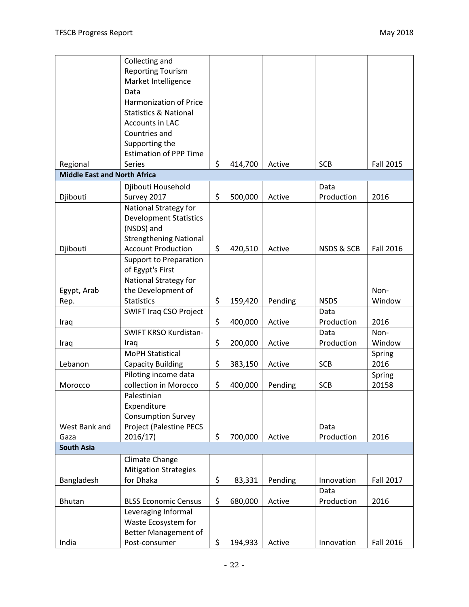|                                     | Collecting and                                   |               |         |                       |                  |
|-------------------------------------|--------------------------------------------------|---------------|---------|-----------------------|------------------|
|                                     | <b>Reporting Tourism</b>                         |               |         |                       |                  |
|                                     | Market Intelligence                              |               |         |                       |                  |
|                                     | Data                                             |               |         |                       |                  |
|                                     | Harmonization of Price                           |               |         |                       |                  |
|                                     | <b>Statistics &amp; National</b>                 |               |         |                       |                  |
|                                     | Accounts in LAC                                  |               |         |                       |                  |
|                                     | Countries and                                    |               |         |                       |                  |
|                                     | Supporting the                                   |               |         |                       |                  |
|                                     | <b>Estimation of PPP Time</b>                    |               |         |                       |                  |
| Regional                            | <b>Series</b>                                    | \$<br>414,700 | Active  | <b>SCB</b>            | <b>Fall 2015</b> |
| <b>Middle East and North Africa</b> |                                                  |               |         |                       |                  |
|                                     | Djibouti Household                               |               |         | Data                  |                  |
| Djibouti                            | Survey 2017                                      | \$<br>500,000 | Active  | Production            | 2016             |
|                                     | National Strategy for                            |               |         |                       |                  |
|                                     | <b>Development Statistics</b>                    |               |         |                       |                  |
|                                     | (NSDS) and                                       |               |         |                       |                  |
|                                     | <b>Strengthening National</b>                    |               |         |                       |                  |
| Djibouti                            | <b>Account Production</b>                        | \$<br>420,510 | Active  | <b>NSDS &amp; SCB</b> | <b>Fall 2016</b> |
|                                     | <b>Support to Preparation</b>                    |               |         |                       |                  |
|                                     | of Egypt's First                                 |               |         |                       |                  |
|                                     | National Strategy for                            |               |         |                       |                  |
| Egypt, Arab                         | the Development of                               |               |         |                       | Non-             |
| Rep.                                | <b>Statistics</b>                                | \$<br>159,420 | Pending | <b>NSDS</b>           | Window           |
|                                     | <b>SWIFT Iraq CSO Project</b>                    |               |         | Data                  |                  |
| Iraq                                |                                                  | \$<br>400,000 | Active  | Production            | 2016             |
|                                     | SWIFT KRSO Kurdistan-                            |               |         | Data                  | Non-             |
| Iraq                                | Iraq                                             | \$<br>200,000 | Active  | Production            | Window           |
|                                     | <b>MoPH Statistical</b>                          |               |         |                       | Spring           |
| Lebanon                             |                                                  | \$            | Active  | <b>SCB</b>            | 2016             |
|                                     | <b>Capacity Building</b><br>Piloting income data | 383,150       |         |                       |                  |
|                                     | collection in Morocco                            |               |         |                       | Spring           |
| Morocco                             |                                                  | \$<br>400,000 | Pending | <b>SCB</b>            | 20158            |
|                                     | Palestinian                                      |               |         |                       |                  |
|                                     | Expenditure                                      |               |         |                       |                  |
|                                     | <b>Consumption Survey</b>                        |               |         |                       |                  |
| West Bank and                       | Project (Palestine PECS                          |               |         | Data                  |                  |
| Gaza                                | 2016/17                                          | \$<br>700,000 | Active  | Production            | 2016             |
| <b>South Asia</b>                   |                                                  |               |         |                       |                  |
|                                     | Climate Change                                   |               |         |                       |                  |
|                                     | <b>Mitigation Strategies</b>                     |               |         |                       |                  |
| Bangladesh                          | for Dhaka                                        | \$<br>83,331  | Pending | Innovation            | Fall 2017        |
|                                     |                                                  |               |         | Data                  |                  |
| <b>Bhutan</b>                       | <b>BLSS Economic Census</b>                      | \$<br>680,000 | Active  | Production            | 2016             |
|                                     | Leveraging Informal                              |               |         |                       |                  |
|                                     | Waste Ecosystem for                              |               |         |                       |                  |
|                                     | Better Management of                             |               |         |                       |                  |
| India                               | Post-consumer                                    | \$<br>194,933 | Active  | Innovation            | Fall 2016        |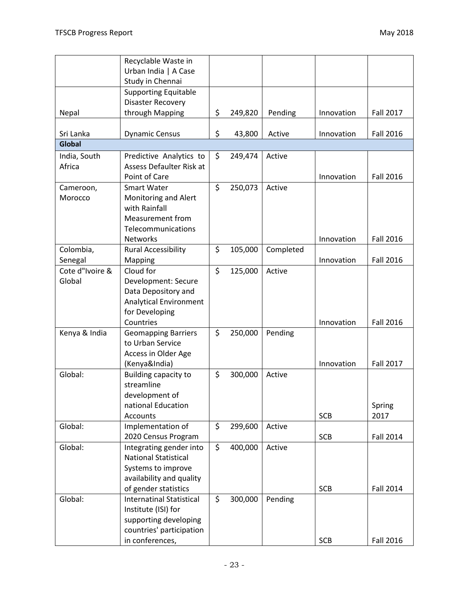| <b>Fall 2017</b> |
|------------------|
|                  |
| <b>Fall 2016</b> |
|                  |
|                  |
|                  |
| <b>Fall 2016</b> |
|                  |
|                  |
|                  |
|                  |
|                  |
| <b>Fall 2016</b> |
|                  |
| <b>Fall 2016</b> |
|                  |
|                  |
|                  |
|                  |
| <b>Fall 2016</b> |
|                  |
|                  |
|                  |
| <b>Fall 2017</b> |
|                  |
|                  |
|                  |
| Spring           |
| 2017             |
|                  |
| <b>Fall 2014</b> |
|                  |
|                  |
|                  |
|                  |
| <b>Fall 2014</b> |
|                  |
|                  |
|                  |
| Fall 2016        |
|                  |